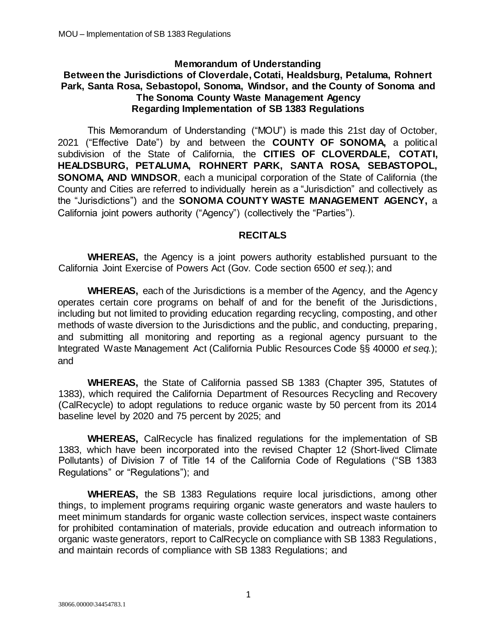#### **Memorandum of Understanding**

#### **Between the Jurisdictions of Cloverdale, Cotati, Healdsburg, Petaluma, Rohnert Park, Santa Rosa, Sebastopol, Sonoma, Windsor, and the County of Sonoma and The Sonoma County Waste Management Agency Regarding Implementation of SB 1383 Regulations**

This Memorandum of Understanding ("MOU") is made this 21st day of October, 2021 ("Effective Date") by and between the **COUNTY OF SONOMA,** a political subdivision of the State of California, the **CITIES OF CLOVERDALE, COTATI, HEALDSBURG, PETALUMA, ROHNERT PARK, SANTA ROSA, SEBASTOPOL, SONOMA, AND WINDSOR**, each a municipal corporation of the State of California (the County and Cities are referred to individually herein as a "Jurisdiction" and collectively as the "Jurisdictions") and the **SONOMA COUNTY WASTE MANAGEMENT AGENCY,** a California joint powers authority ("Agency") (collectively the "Parties").

#### **RECITALS**

**WHEREAS,** the Agency is a joint powers authority established pursuant to the California Joint Exercise of Powers Act (Gov. Code section 6500 *et seq.*); and

**WHEREAS,** each of the Jurisdictions is a member of the Agency, and the Agency operates certain core programs on behalf of and for the benefit of the Jurisdictions, including but not limited to providing education regarding recycling, composting, and other methods of waste diversion to the Jurisdictions and the public, and conducting, preparing, and submitting all monitoring and reporting as a regional agency pursuant to the Integrated Waste Management Act (California Public Resources Code §§ 40000 *et seq.*); and

**WHEREAS,** the State of California passed SB 1383 (Chapter 395, Statutes of 1383), which required the California Department of Resources Recycling and Recovery (CalRecycle) to adopt regulations to reduce organic waste by 50 percent from its 2014 baseline level by 2020 and 75 percent by 2025; and

**WHEREAS,** CalRecycle has finalized regulations for the implementation of SB 1383, which have been incorporated into the revised Chapter 12 (Short-lived Climate Pollutants) of Division 7 of Title 14 of the California Code of Regulations ("SB 1383 Regulations" or "Regulations"); and

**WHEREAS,** the SB 1383 Regulations require local jurisdictions, among other things, to implement programs requiring organic waste generators and waste haulers to meet minimum standards for organic waste collection services, inspect waste containers for prohibited contamination of materials, provide education and outreach information to organic waste generators, report to CalRecycle on compliance with SB 1383 Regulations, and maintain records of compliance with SB 1383 Regulations; and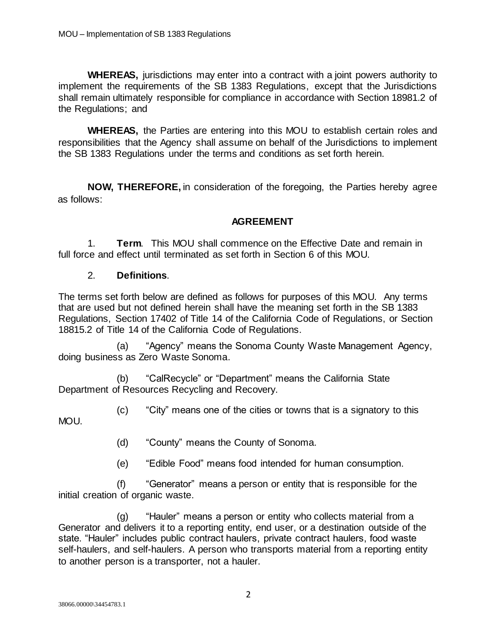**WHEREAS,** jurisdictions may enter into a contract with a joint powers authority to implement the requirements of the SB 1383 Regulations, except that the Jurisdictions shall remain ultimately responsible for compliance in accordance with Section 18981.2 of the Regulations; and

**WHEREAS,** the Parties are entering into this MOU to establish certain roles and responsibilities that the Agency shall assume on behalf of the Jurisdictions to implement the SB 1383 Regulations under the terms and conditions as set forth herein.

**NOW, THEREFORE,** in consideration of the foregoing, the Parties hereby agree as follows:

### **AGREEMENT**

1. **Term**. This MOU shall commence on the Effective Date and remain in full force and effect until terminated as set forth in Section 6 of this MOU.

#### 2. **Definitions**.

The terms set forth below are defined as follows for purposes of this MOU. Any terms that are used but not defined herein shall have the meaning set forth in the SB 1383 Regulations, Section 17402 of Title 14 of the California Code of Regulations, or Section 18815.2 of Title 14 of the California Code of Regulations.

(a) "Agency" means the Sonoma County Waste Management Agency, doing business as Zero Waste Sonoma.

(b) "CalRecycle" or "Department" means the California State Department of Resources Recycling and Recovery.

(c) "City" means one of the cities or towns that is a signatory to this MOU.

(d) "County" means the County of Sonoma.

(e) "Edible Food" means food intended for human consumption.

(f) "Generator" means a person or entity that is responsible for the initial creation of organic waste.

(g) "Hauler" means a person or entity who collects material from a Generator and delivers it to a reporting entity, end user, or a destination outside of the state. "Hauler" includes public contract haulers, private contract haulers, food waste self-haulers, and self-haulers. A person who transports material from a reporting entity to another person is a transporter, not a hauler.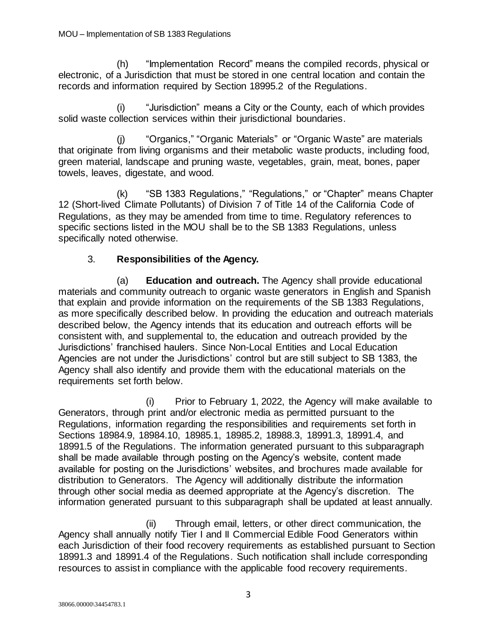(h) "Implementation Record" means the compiled records, physical or electronic, of a Jurisdiction that must be stored in one central location and contain the records and information required by Section 18995.2 of the Regulations.

(i) "Jurisdiction" means a City or the County, each of which provides solid waste collection services within their jurisdictional boundaries.

(j) "Organics," "Organic Materials" or "Organic Waste" are materials that originate from living organisms and their metabolic waste products, including food, green material, landscape and pruning waste, vegetables, grain, meat, bones, paper towels, leaves, digestate, and wood.

(k) "SB 1383 Regulations," "Regulations," or "Chapter" means Chapter 12 (Short-lived Climate Pollutants) of Division 7 of Title 14 of the California Code of Regulations, as they may be amended from time to time. Regulatory references to specific sections listed in the MOU shall be to the SB 1383 Regulations, unless specifically noted otherwise.

# 3. **Responsibilities of the Agency.**

(a) **Education and outreach.** The Agency shall provide educational materials and community outreach to organic waste generators in English and Spanish that explain and provide information on the requirements of the SB 1383 Regulations, as more specifically described below. In providing the education and outreach materials described below, the Agency intends that its education and outreach efforts will be consistent with, and supplemental to, the education and outreach provided by the Jurisdictions' franchised haulers. Since Non-Local Entities and Local Education Agencies are not under the Jurisdictions' control but are still subject to SB 1383, the Agency shall also identify and provide them with the educational materials on the requirements set forth below.

(i) Prior to February 1, 2022, the Agency will make available to Generators, through print and/or electronic media as permitted pursuant to the Regulations, information regarding the responsibilities and requirements set forth in Sections 18984.9, 18984.10, 18985.1, 18985.2, 18988.3, 18991.3, 18991.4, and 18991.5 of the Regulations. The information generated pursuant to this subparagraph shall be made available through posting on the Agency's website, content made available for posting on the Jurisdictions' websites, and brochures made available for distribution to Generators. The Agency will additionally distribute the information through other social media as deemed appropriate at the Agency's discretion. The information generated pursuant to this subparagraph shall be updated at least annually.

(ii) Through email, letters, or other direct communication, the Agency shall annually notify Tier I and II Commercial Edible Food Generators within each Jurisdiction of their food recovery requirements as established pursuant to Section 18991.3 and 18991.4 of the Regulations. Such notification shall include corresponding resources to assist in compliance with the applicable food recovery requirements.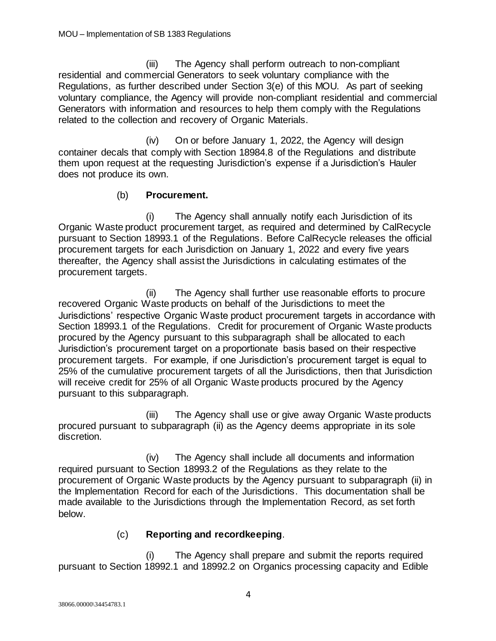(iii) The Agency shall perform outreach to non-compliant residential and commercial Generators to seek voluntary compliance with the Regulations, as further described under Section 3(e) of this MOU. As part of seeking voluntary compliance, the Agency will provide non-compliant residential and commercial Generators with information and resources to help them comply with the Regulations related to the collection and recovery of Organic Materials.

(iv) On or before January 1, 2022, the Agency will design container decals that comply with Section 18984.8 of the Regulations and distribute them upon request at the requesting Jurisdiction's expense if a Jurisdiction's Hauler does not produce its own.

# (b) **Procurement.**

(i) The Agency shall annually notify each Jurisdiction of its Organic Waste product procurement target, as required and determined by CalRecycle pursuant to Section 18993.1 of the Regulations. Before CalRecycle releases the official procurement targets for each Jurisdiction on January 1, 2022 and every five years thereafter, the Agency shall assist the Jurisdictions in calculating estimates of the procurement targets.

(ii) The Agency shall further use reasonable efforts to procure recovered Organic Waste products on behalf of the Jurisdictions to meet the Jurisdictions' respective Organic Waste product procurement targets in accordance with Section 18993.1 of the Regulations. Credit for procurement of Organic Waste products procured by the Agency pursuant to this subparagraph shall be allocated to each Jurisdiction's procurement target on a proportionate basis based on their respective procurement targets. For example, if one Jurisdiction's procurement target is equal to 25% of the cumulative procurement targets of all the Jurisdictions, then that Jurisdiction will receive credit for 25% of all Organic Waste products procured by the Agency pursuant to this subparagraph.

(iii) The Agency shall use or give away Organic Waste products procured pursuant to subparagraph (ii) as the Agency deems appropriate in its sole discretion.

(iv) The Agency shall include all documents and information required pursuant to Section 18993.2 of the Regulations as they relate to the procurement of Organic Waste products by the Agency pursuant to subparagraph (ii) in the Implementation Record for each of the Jurisdictions. This documentation shall be made available to the Jurisdictions through the Implementation Record, as set forth below.

# (c) **Reporting and recordkeeping**.

(i) The Agency shall prepare and submit the reports required pursuant to Section 18992.1 and 18992.2 on Organics processing capacity and Edible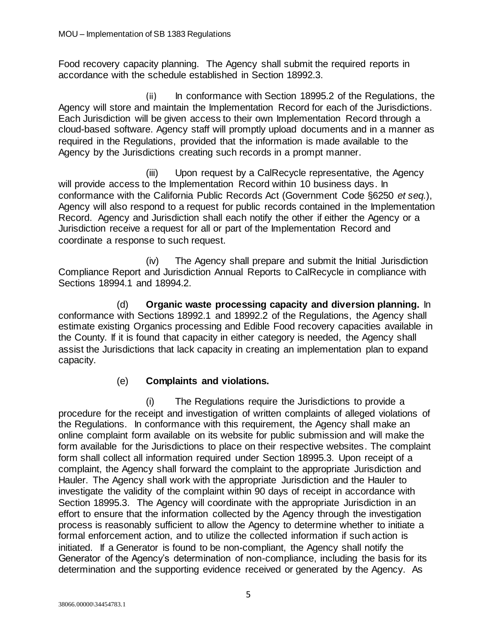Food recovery capacity planning. The Agency shall submit the required reports in accordance with the schedule established in Section 18992.3.

(ii) In conformance with Section 18995.2 of the Regulations, the Agency will store and maintain the Implementation Record for each of the Jurisdictions. Each Jurisdiction will be given access to their own Implementation Record through a cloud-based software. Agency staff will promptly upload documents and in a manner as required in the Regulations, provided that the information is made available to the Agency by the Jurisdictions creating such records in a prompt manner.

(iii) Upon request by a CalRecycle representative, the Agency will provide access to the Implementation Record within 10 business days. In conformance with the California Public Records Act (Government Code §6250 *et seq.*), Agency will also respond to a request for public records contained in the Implementation Record. Agency and Jurisdiction shall each notify the other if either the Agency or a Jurisdiction receive a request for all or part of the Implementation Record and coordinate a response to such request.

(iv) The Agency shall prepare and submit the Initial Jurisdiction Compliance Report and Jurisdiction Annual Reports to CalRecycle in compliance with Sections 18994.1 and 18994.2.

(d) **Organic waste processing capacity and diversion planning.** In conformance with Sections 18992.1 and 18992.2 of the Regulations, the Agency shall estimate existing Organics processing and Edible Food recovery capacities available in the County. If it is found that capacity in either category is needed, the Agency shall assist the Jurisdictions that lack capacity in creating an implementation plan to expand capacity.

# (e) **Complaints and violations.**

(i) The Regulations require the Jurisdictions to provide a procedure for the receipt and investigation of written complaints of alleged violations of the Regulations. In conformance with this requirement, the Agency shall make an online complaint form available on its website for public submission and will make the form available for the Jurisdictions to place on their respective websites. The complaint form shall collect all information required under Section 18995.3. Upon receipt of a complaint, the Agency shall forward the complaint to the appropriate Jurisdiction and Hauler. The Agency shall work with the appropriate Jurisdiction and the Hauler to investigate the validity of the complaint within 90 days of receipt in accordance with Section 18995.3. The Agency will coordinate with the appropriate Jurisdiction in an effort to ensure that the information collected by the Agency through the investigation process is reasonably sufficient to allow the Agency to determine whether to initiate a formal enforcement action, and to utilize the collected information if such action is initiated. If a Generator is found to be non-compliant, the Agency shall notify the Generator of the Agency's determination of non-compliance, including the basis for its determination and the supporting evidence received or generated by the Agency. As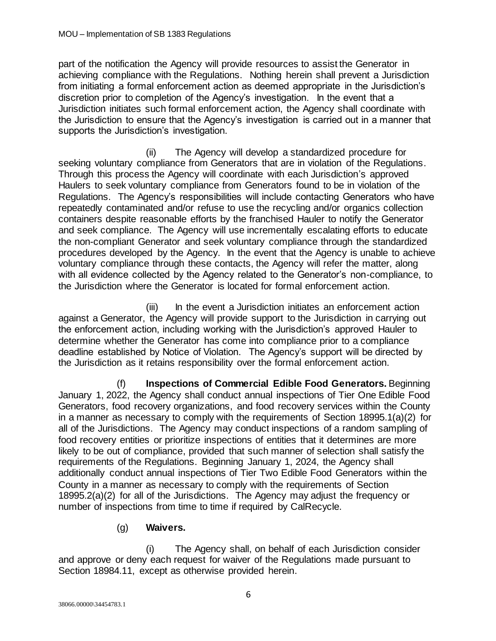part of the notification the Agency will provide resources to assist the Generator in achieving compliance with the Regulations. Nothing herein shall prevent a Jurisdiction from initiating a formal enforcement action as deemed appropriate in the Jurisdiction's discretion prior to completion of the Agency's investigation. In the event that a Jurisdiction initiates such formal enforcement action, the Agency shall coordinate with the Jurisdiction to ensure that the Agency's investigation is carried out in a manner that supports the Jurisdiction's investigation.

(ii) The Agency will develop a standardized procedure for seeking voluntary compliance from Generators that are in violation of the Regulations. Through this process the Agency will coordinate with each Jurisdiction's approved Haulers to seek voluntary compliance from Generators found to be in violation of the Regulations. The Agency's responsibilities will include contacting Generators who have repeatedly contaminated and/or refuse to use the recycling and/or organics collection containers despite reasonable efforts by the franchised Hauler to notify the Generator and seek compliance. The Agency will use incrementally escalating efforts to educate the non-compliant Generator and seek voluntary compliance through the standardized procedures developed by the Agency. In the event that the Agency is unable to achieve voluntary compliance through these contacts, the Agency will refer the matter, along with all evidence collected by the Agency related to the Generator's non-compliance, to the Jurisdiction where the Generator is located for formal enforcement action.

(iii) In the event a Jurisdiction initiates an enforcement action against a Generator, the Agency will provide support to the Jurisdiction in carrying out the enforcement action, including working with the Jurisdiction's approved Hauler to determine whether the Generator has come into compliance prior to a compliance deadline established by Notice of Violation. The Agency's support will be directed by the Jurisdiction as it retains responsibility over the formal enforcement action.

(f) **Inspections of Commercial Edible Food Generators.** Beginning January 1, 2022, the Agency shall conduct annual inspections of Tier One Edible Food Generators, food recovery organizations, and food recovery services within the County in a manner as necessary to comply with the requirements of Section 18995.1(a)(2) for all of the Jurisdictions. The Agency may conduct inspections of a random sampling of food recovery entities or prioritize inspections of entities that it determines are more likely to be out of compliance, provided that such manner of selection shall satisfy the requirements of the Regulations. Beginning January 1, 2024, the Agency shall additionally conduct annual inspections of Tier Two Edible Food Generators within the County in a manner as necessary to comply with the requirements of Section 18995.2(a)(2) for all of the Jurisdictions. The Agency may adjust the frequency or number of inspections from time to time if required by CalRecycle.

# (g) **Waivers.**

(i) The Agency shall, on behalf of each Jurisdiction consider and approve or deny each request for waiver of the Regulations made pursuant to Section 18984.11, except as otherwise provided herein.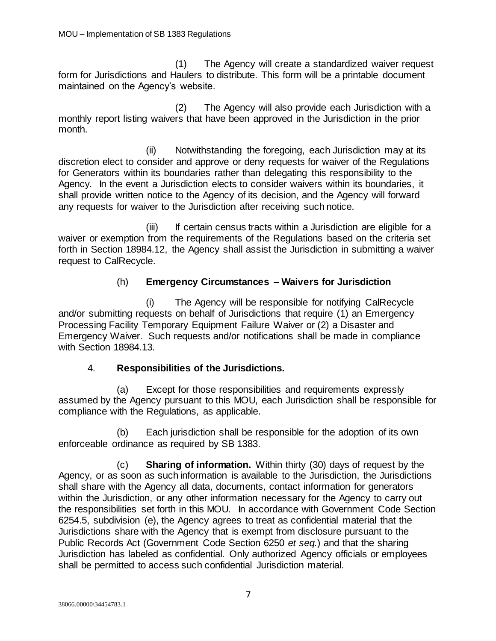(1) The Agency will create a standardized waiver request form for Jurisdictions and Haulers to distribute. This form will be a printable document maintained on the Agency's website.

(2) The Agency will also provide each Jurisdiction with a monthly report listing waivers that have been approved in the Jurisdiction in the prior month.

(ii) Notwithstanding the foregoing, each Jurisdiction may at its discretion elect to consider and approve or deny requests for waiver of the Regulations for Generators within its boundaries rather than delegating this responsibility to the Agency. In the event a Jurisdiction elects to consider waivers within its boundaries, it shall provide written notice to the Agency of its decision, and the Agency will forward any requests for waiver to the Jurisdiction after receiving such notice.

(iii) If certain census tracts within a Jurisdiction are eligible for a waiver or exemption from the requirements of the Regulations based on the criteria set forth in Section 18984.12, the Agency shall assist the Jurisdiction in submitting a waiver request to CalRecycle.

# (h) **Emergency Circumstances – Waivers for Jurisdiction**

(i) The Agency will be responsible for notifying CalRecycle and/or submitting requests on behalf of Jurisdictions that require (1) an Emergency Processing Facility Temporary Equipment Failure Waiver or (2) a Disaster and Emergency Waiver. Such requests and/or notifications shall be made in compliance with Section 18984.13.

# 4. **Responsibilities of the Jurisdictions.**

(a) Except for those responsibilities and requirements expressly assumed by the Agency pursuant to this MOU, each Jurisdiction shall be responsible for compliance with the Regulations, as applicable.

(b) Each jurisdiction shall be responsible for the adoption of its own enforceable ordinance as required by SB 1383.

(c) **Sharing of information.** Within thirty (30) days of request by the Agency, or as soon as such information is available to the Jurisdiction, the Jurisdictions shall share with the Agency all data, documents, contact information for generators within the Jurisdiction, or any other information necessary for the Agency to carry out the responsibilities set forth in this MOU. In accordance with Government Code Section 6254.5, subdivision (e), the Agency agrees to treat as confidential material that the Jurisdictions share with the Agency that is exempt from disclosure pursuant to the Public Records Act (Government Code Section 6250 *et seq.*) and that the sharing Jurisdiction has labeled as confidential. Only authorized Agency officials or employees shall be permitted to access such confidential Jurisdiction material.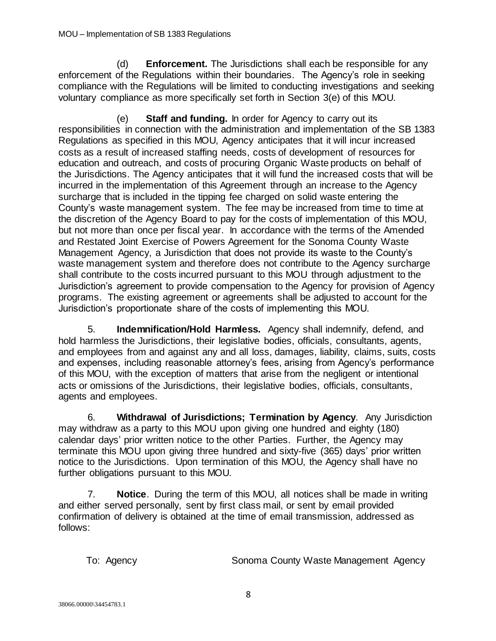(d) **Enforcement.** The Jurisdictions shall each be responsible for any enforcement of the Regulations within their boundaries. The Agency's role in seeking compliance with the Regulations will be limited to conducting investigations and seeking voluntary compliance as more specifically set forth in Section 3(e) of this MOU.

(e) **Staff and funding.** In order for Agency to carry out its responsibilities in connection with the administration and implementation of the SB 1383 Regulations as specified in this MOU, Agency anticipates that it will incur increased costs as a result of increased staffing needs, costs of development of resources for education and outreach, and costs of procuring Organic Waste products on behalf of the Jurisdictions. The Agency anticipates that it will fund the increased costs that will be incurred in the implementation of this Agreement through an increase to the Agency surcharge that is included in the tipping fee charged on solid waste entering the County's waste management system. The fee may be increased from time to time at the discretion of the Agency Board to pay for the costs of implementation of this MOU, but not more than once per fiscal year. In accordance with the terms of the Amended and Restated Joint Exercise of Powers Agreement for the Sonoma County Waste Management Agency, a Jurisdiction that does not provide its waste to the County's waste management system and therefore does not contribute to the Agency surcharge shall contribute to the costs incurred pursuant to this MOU through adjustment to the Jurisdiction's agreement to provide compensation to the Agency for provision of Agency programs. The existing agreement or agreements shall be adjusted to account for the Jurisdiction's proportionate share of the costs of implementing this MOU.

5. **Indemnification/Hold Harmless.** Agency shall indemnify, defend, and hold harmless the Jurisdictions, their legislative bodies, officials, consultants, agents, and employees from and against any and all loss, damages, liability, claims, suits, costs and expenses, including reasonable attorney's fees, arising from Agency's performance of this MOU, with the exception of matters that arise from the negligent or intentional acts or omissions of the Jurisdictions, their legislative bodies, officials, consultants, agents and employees.

6. **Withdrawal of Jurisdictions; Termination by Agency**. Any Jurisdiction may withdraw as a party to this MOU upon giving one hundred and eighty (180) calendar days' prior written notice to the other Parties. Further, the Agency may terminate this MOU upon giving three hundred and sixty-five (365) days' prior written notice to the Jurisdictions. Upon termination of this MOU, the Agency shall have no further obligations pursuant to this MOU.

7. **Notice**. During the term of this MOU, all notices shall be made in writing and either served personally, sent by first class mail, or sent by email provided confirmation of delivery is obtained at the time of email transmission, addressed as follows:

To: Agency **Sonoma County Waste Management Agency**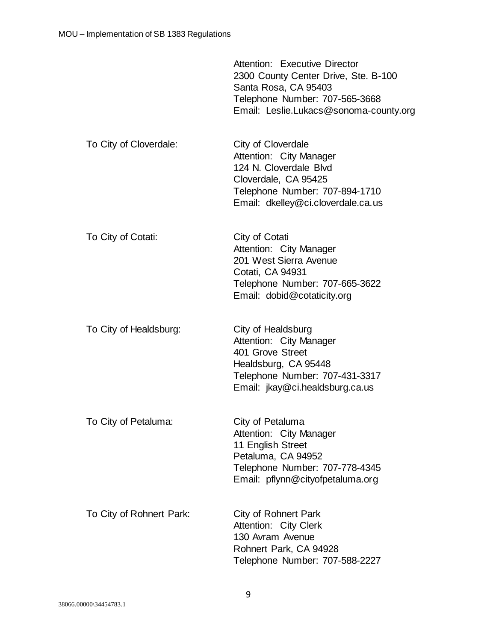|                          | Attention: Executive Director<br>2300 County Center Drive, Ste. B-100<br>Santa Rosa, CA 95403<br>Telephone Number: 707-565-3668<br>Email: Leslie.Lukacs@sonoma-county.org |
|--------------------------|---------------------------------------------------------------------------------------------------------------------------------------------------------------------------|
| To City of Cloverdale:   | City of Cloverdale<br>Attention: City Manager<br>124 N. Cloverdale Blvd<br>Cloverdale, CA 95425<br>Telephone Number: 707-894-1710<br>Email: dkelley@ci.cloverdale.ca.us   |
| To City of Cotati:       | City of Cotati<br>Attention: City Manager<br>201 West Sierra Avenue<br>Cotati, CA 94931<br>Telephone Number: 707-665-3622<br>Email: dobid@cotaticity.org                  |
| To City of Healdsburg:   | City of Healdsburg<br>Attention: City Manager<br>401 Grove Street<br>Healdsburg, CA 95448<br>Telephone Number: 707-431-3317<br>Email: jkay@ci.healdsburg.ca.us            |
| To City of Petaluma:     | City of Petaluma<br>Attention: City Manager<br>11 English Street<br>Petaluma, CA 94952<br>Telephone Number: 707-778-4345<br>Email: pflynn@cityofpetaluma.org              |
| To City of Rohnert Park: | City of Rohnert Park<br>Attention: City Clerk<br>130 Avram Avenue<br>Rohnert Park, CA 94928<br>Telephone Number: 707-588-2227                                             |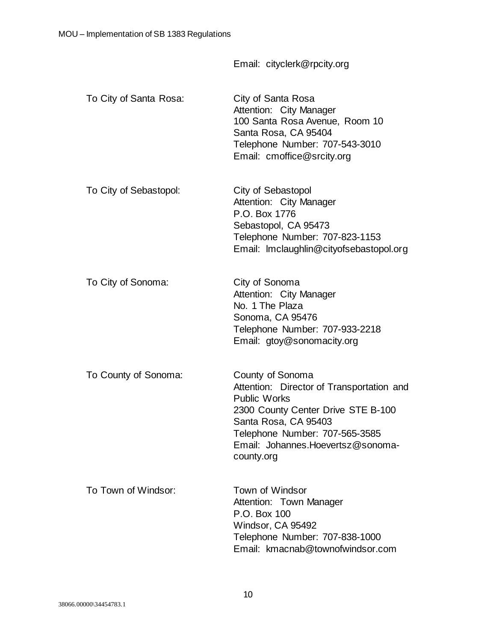|                        | Email: cityclerk@rpcity.org                                                                                                                                                                                                              |
|------------------------|------------------------------------------------------------------------------------------------------------------------------------------------------------------------------------------------------------------------------------------|
| To City of Santa Rosa: | City of Santa Rosa<br>Attention: City Manager<br>100 Santa Rosa Avenue, Room 10<br>Santa Rosa, CA 95404<br>Telephone Number: 707-543-3010<br>Email: cmoffice@srcity.org                                                                  |
| To City of Sebastopol: | City of Sebastopol<br>Attention: City Manager<br>P.O. Box 1776<br>Sebastopol, CA 95473<br>Telephone Number: 707-823-1153<br>Email: Imclaughlin@cityofsebastopol.org                                                                      |
| To City of Sonoma:     | City of Sonoma<br>Attention: City Manager<br>No. 1 The Plaza<br>Sonoma, CA 95476<br>Telephone Number: 707-933-2218<br>Email: gtoy@sonomacity.org                                                                                         |
| To County of Sonoma:   | County of Sonoma<br>Attention: Director of Transportation and<br><b>Public Works</b><br>2300 County Center Drive STE B-100<br>Santa Rosa, CA 95403<br>Telephone Number: 707-565-3585<br>Email: Johannes. Hoevertsz@sonoma-<br>county.org |
| To Town of Windsor:    | Town of Windsor<br>Attention: Town Manager<br>P.O. Box 100<br>Windsor, CA 95492<br>Telephone Number: 707-838-1000<br>Email: kmacnab@townofwindsor.com                                                                                    |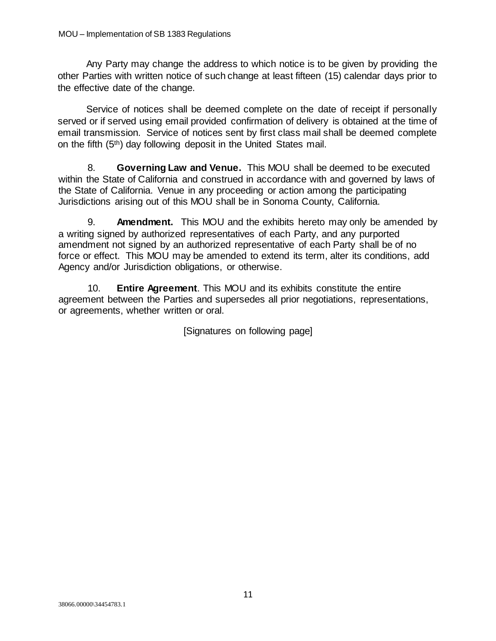Any Party may change the address to which notice is to be given by providing the other Parties with written notice of such change at least fifteen (15) calendar days prior to the effective date of the change.

Service of notices shall be deemed complete on the date of receipt if personally served or if served using email provided confirmation of delivery is obtained at the time of email transmission. Service of notices sent by first class mail shall be deemed complete on the fifth (5th) day following deposit in the United States mail.

8. **Governing Law and Venue.** This MOU shall be deemed to be executed within the State of California and construed in accordance with and governed by laws of the State of California. Venue in any proceeding or action among the participating Jurisdictions arising out of this MOU shall be in Sonoma County, California.

9. **Amendment.** This MOU and the exhibits hereto may only be amended by a writing signed by authorized representatives of each Party, and any purported amendment not signed by an authorized representative of each Party shall be of no force or effect. This MOU may be amended to extend its term, alter its conditions, add Agency and/or Jurisdiction obligations, or otherwise.

10. **Entire Agreement**. This MOU and its exhibits constitute the entire agreement between the Parties and supersedes all prior negotiations, representations, or agreements, whether written or oral.

[Signatures on following page]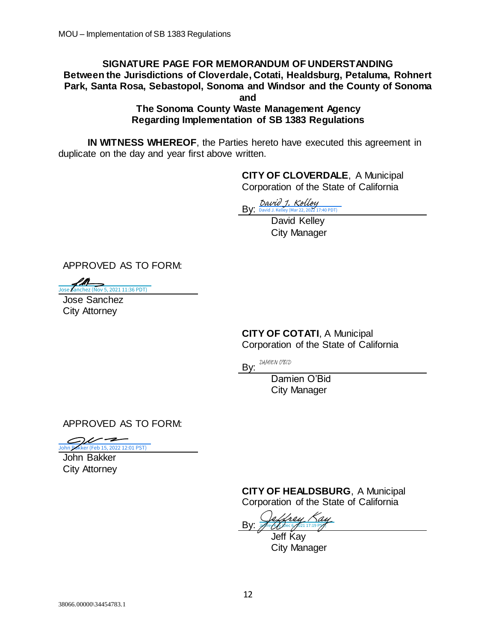#### **SIGNATURE PAGE FOR MEMORANDUM OF UNDERSTANDING Between the Jurisdictions of Cloverdale, Cotati, Healdsburg, Petaluma, Rohnert Park, Santa Rosa, Sebastopol, Sonoma and Windsor and the County of Sonoma and**

**The Sonoma County Waste Management Agency Regarding Implementation of SB 1383 Regulations**

**IN WITNESS WHEREOF**, the Parties hereto have executed this agreement in duplicate on the day and year first above written.

> **CITY OF CLOVERDALE**, A Municipal Corporation of the State of California

By: [David J. Kelley](https://sonomacounty.na1.documents.adobe.com/verifier?tx=CBJCHBCAABAAHtCmoVlqMX7PKFHZUZOeHwrGZZgGEFgz)<br>By: David J. Kelley (Mar 22, 2022 1

David Kelley City Manager

APPROVED AS TO FORM:

**Joseph School School School September 11:36 PDT)** 

Jose Sanchez City Attorney

**CITY OF COTATI**, A Municipal Corporation of the State of California  $\frac{By: \frac{By: \frac{By: \frac{1}{(30\sqrt{d}) \cdot \text{N}} \cdot \text{Cyl}} \cdot \text{David} \cdot \text{Kelly} \cdot \text{Niz.} \times \text{DZ1} \cdot \text{David} \cdot \text{Kelly}}{\text{David} \cdot \text{Kelly}}}{\text{David} \cdot \text{Kelly}}$ <br>
Jose Sanchez<br>
Jose Sanchez<br>
City Attorney<br>
CITY OF COTATI, A M<br>
Corporation of the State<br>
By:

By: DAMIEN O'BID

Damien O'Bid City Manager

APPROVED AS TO FORM:

John Bakker City Attorney

> **CITY OF HEALDSBURG**, A Municipal Corporation of the State of California

By: <u>[Jeffrey Kay](https://sonomacounty.na1.documents.adobe.com/verifier?tx=CBJCHBCAABAAHtCmoVlqMX7PKFHZUZOeHwrGZZgGEFgz)</u>

Jeff Kay City Manager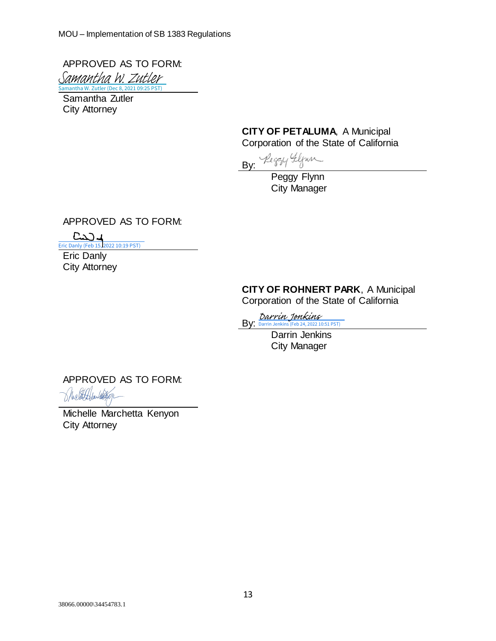APPROVED AS TO FORM: Samantha W. Zutler (Dec 8, 2021 09:25 PST) [Samantha W. Zutler](https://secure.na1.adobesign.com/verifier?tx=CBJCHBCAABAAHtCmoVlqMX7PKFHZUZOeHwrGZZgGEFgz)

Samantha Zutler City Attorney

#### **CITY OF PETALUMA**, A Municipal Corporation of the State of California

By: Reggy Flynn

Peggy Flynn City Manager

APPROVED AS TO FORM:

 $C$  $J$  $J$ 

[Eric Danly \(Feb 15, 2022 10:19 PST\)](https://na1.documents.adobe.com/verifier?tx=CBJCHBCAABAAHtCmoVlqMX7PKFHZUZOeHwrGZZgGEFgz)

Eric Danly City Attorney

#### **CITY OF ROHNERT PARK**, A Municipal Corporation of the State of California

By: <del>[Darrin Jenkins](https://sonomacounty.na1.documents.adobe.com/verifier?tx=CBJCHBCAABAAHtCmoVlqMX7PKFHZUZOeHwrGZZgGEFgz)</del><br>By: <del>Darrin Jenkins</del> (Feb 24, 2022 10:51 PST)

Darrin Jenkins City Manager

APPROVED AS TO FORM:

attifaulter

Michelle Marchetta Kenyon City Attorney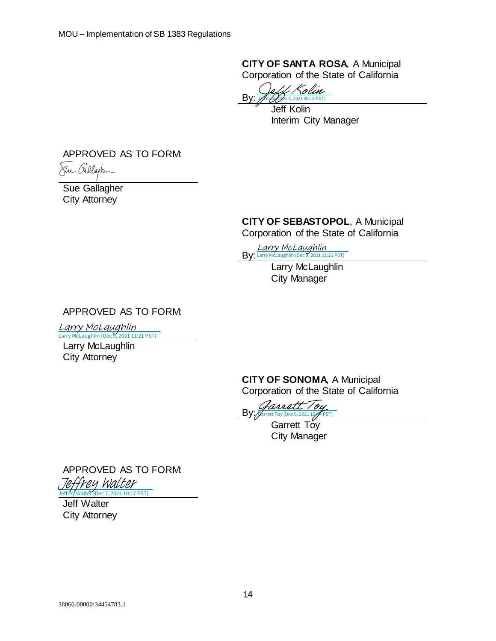**CITY OF SANTA ROSA**, A Municipal Corporation of the State of California

By: Jeff Kolin (Nov 3, 2021 09:18 PDT) [Jeff Kolin](https://secure.na1.adobesign.com/verifier?tx=CBJCHBCAABAAHtCmoVlqMX7PKFHZUZOeHwrGZZgGEFgz)

Jeff Kolin Interim City Manager

APPROVED AS TO FORM:



Sue Gallagher City Attorney

# **CITY OF SEBASTOPOL**, A Municipal

Corporation of the State of California

Edrry McLaughlin<br>By: [Larry McLaughlin](https://sonomacounty.na1.documents.adobe.com/verifier?tx=CBJCHBCAABAAHtCmoVlqMX7PKFHZUZOeHwrGZZgGEFgz) (Dec 9, 2021 11:21 PST)

Larry McLaughlin City Manager

APPROVED AS TO FORM:

[Larry McLaughlin](https://sonomacounty.na1.documents.adobe.com/verifier?tx=CBJCHBCAABAAHtCmoVlqMX7PKFHZUZOeHwrGZZgGEFgz)

Larry McLaughlin (Dec 9, 2021 11:21 PST)

Larry McLaughlin City Attorney

> **CITY OF SONOMA**, A Municipal Corporation of the State of California

By: Iarrett

Garrett Tov City Manager

APPROVED AS TO FORM: Frey Walter

Jeff Walter City Attorney Dec 7, 2021 10:17 PST)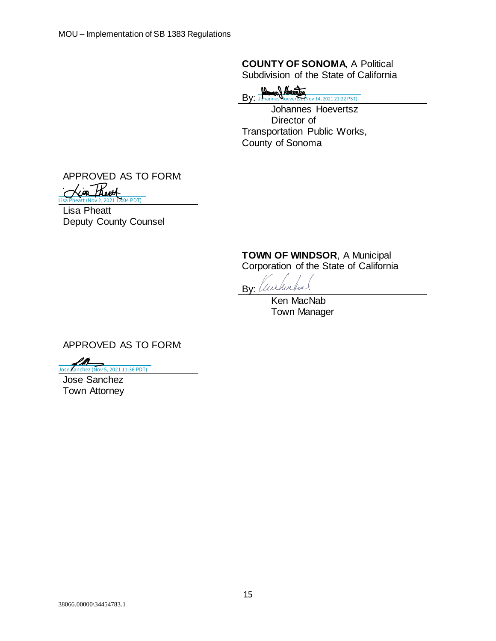**COUNTY OF SONOMA**, A Political Subdivision of the State of California

 $By:  $\frac{\mathbf{B}_{\text{max}}}{\mathbf{B}_{\text{bin}}}$$ **[Johannes Hoevertsz \(Nov 14, 2021 21:22 PST\)](https://sonomacounty.na1.documents.adobe.com/verifier?tx=CBJCHBCAABAAHtCmoVlqMX7PKFHZUZOeHwrGZZgGEFgz)** 

Johannes Hoevertsz Director of Transportation Public Works, County of Sonoma

APPROVED AS TO FORM: Keoth

Lisa Pheatt Deputy County Counsel  $\overline{.04$  PDT)

**TOWN OF WINDSOR**, A Municipal

Corporation of the State of California

// ceptie hue By:

Ken MacNab Town Manager

APPROVED AS TO FORM:

[Jose Sanchez \(Nov 5, 2021 11:36 PDT\)](https://na1.documents.adobe.com/verifier?tx=CBJCHBCAABAAHtCmoVlqMX7PKFHZUZOeHwrGZZgGEFgz)

Jose Sanchez Town Attorney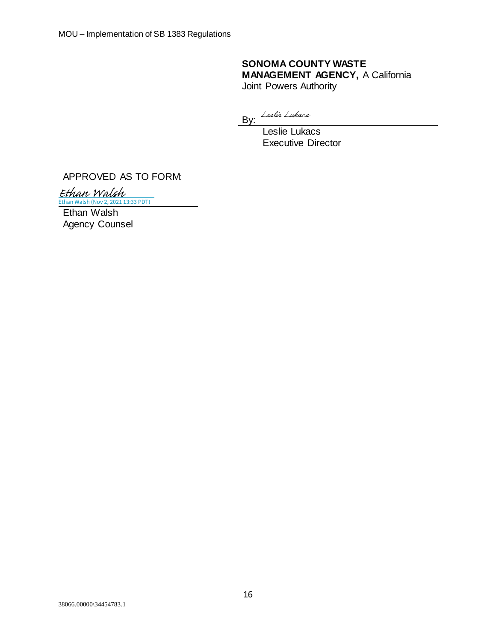#### **SONOMA COUNTY WASTE MANAGEMENT AGENCY,** A California Joint Powers Authority

By: Leslie Lukacs

Leslie Lukacs Executive Director

APPROVED AS TO FORM:

[Ethan Walsh](https://sonomacounty.na1.documents.adobe.com/verifier?tx=CBJCHBCAABAAHtCmoVlqMX7PKFHZUZOeHwrGZZgGEFgz)

Ethan Walsh Agency Counsel Ethan Walsh (Nov 2, 2021 13:33 PDT)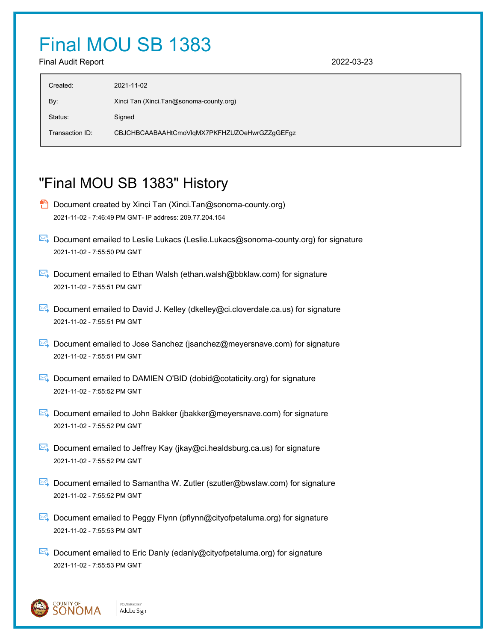# Final MOU SB 1383

Final Audit Report 2022-03-23

| Created:        | 2021-11-02                                   |
|-----------------|----------------------------------------------|
| By:             | Xinci Tan (Xinci Tan@sonoma-county.org)      |
| Status:         | Signed                                       |
| Transaction ID: | CBJCHBCAABAAHtCmoVlgMX7PKFHZUZOeHwrGZZgGEFgz |
|                 |                                              |

# "Final MOU SB 1383" History

- **D** Document created by Xinci Tan (Xinci.Tan@sonoma-county.org) 2021-11-02 - 7:46:49 PM GMT- IP address: 209.77.204.154
- Document emailed to Leslie Lukacs (Leslie.Lukacs@sonoma-county.org) for signature 2021-11-02 - 7:55:50 PM GMT
- Document emailed to Ethan Walsh (ethan.walsh@bbklaw.com) for signature 2021-11-02 - 7:55:51 PM GMT
- **E** Document emailed to David J. Kelley (dkelley@ci.cloverdale.ca.us) for signature 2021-11-02 - 7:55:51 PM GMT
- **E**. Document emailed to Jose Sanchez (jsanchez@meyersnave.com) for signature 2021-11-02 - 7:55:51 PM GMT
- $\mathbb{R}$  Document emailed to DAMIEN O'BID (dobid@cotaticity.org) for signature 2021-11-02 - 7:55:52 PM GMT
- $\mathbb{R}$  Document emailed to John Bakker (jbakker@meyersnave.com) for signature 2021-11-02 - 7:55:52 PM GMT
- Document emailed to Jeffrey Kay (jkay@ci.healdsburg.ca.us) for signature 2021-11-02 - 7:55:52 PM GMT
- **E** Document emailed to Samantha W. Zutler (szutler@bwslaw.com) for signature 2021-11-02 - 7:55:52 PM GMT
- $\boxtimes$  Document emailed to Peggy Flynn (pflynn@cityofpetaluma.org) for signature 2021-11-02 - 7:55:53 PM GMT
- $\mathbb{E}$  Document emailed to Eric Danly (edanly@cityofpetaluma.org) for signature 2021-11-02 - 7:55:53 PM GMT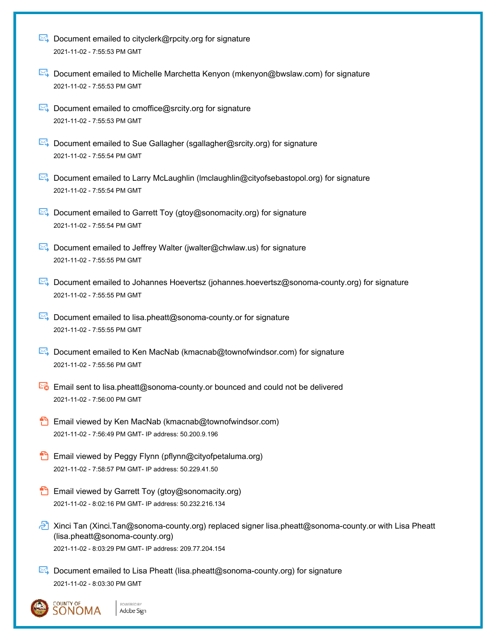| ► Document emailed to cityclerk@rpcity.org for signature |
|----------------------------------------------------------|
| 2021-11-02 - 7:55:53 PM GMT                              |

- Document emailed to Michelle Marchetta Kenyon (mkenyon@bwslaw.com) for signature 2021-11-02 - 7:55:53 PM GMT
- $\mathbb{R}$  Document emailed to cmoffice@srcity.org for signature 2021-11-02 - 7:55:53 PM GMT
- $\mathbb{R}$  Document emailed to Sue Gallagher (sgallagher@srcity.org) for signature 2021-11-02 - 7:55:54 PM GMT
- Document emailed to Larry McLaughlin (Imclaughlin@cityofsebastopol.org) for signature 2021-11-02 - 7:55:54 PM GMT
- $\boxtimes$  Document emailed to Garrett Toy (gtoy@sonomacity.org) for signature 2021-11-02 - 7:55:54 PM GMT
- Document emailed to Jeffrey Walter (jwalter@chwlaw.us) for signature 2021-11-02 - 7:55:55 PM GMT
- Document emailed to Johannes Hoevertsz (johannes.hoevertsz@sonoma-county.org) for signature 2021-11-02 - 7:55:55 PM GMT
- $\mathbb{R}$  Document emailed to lisa.pheatt@sonoma-county.or for signature 2021-11-02 - 7:55:55 PM GMT
- Document emailed to Ken MacNab (kmacnab@townofwindsor.com) for signature 2021-11-02 - 7:55:56 PM GMT
- $\mathbb{E}_{\bullet}$  Email sent to lisa.pheatt@sonoma-county.or bounced and could not be delivered 2021-11-02 - 7:56:00 PM GMT
- **Email viewed by Ken MacNab (kmacnab@townofwindsor.com)** 2021-11-02 - 7:56:49 PM GMT- IP address: 50.200.9.196
- **Email viewed by Peggy Flynn (pflynn@cityofpetaluma.org)** 2021-11-02 - 7:58:57 PM GMT- IP address: 50.229.41.50
- **Email viewed by Garrett Toy (gtoy@sonomacity.org)** 2021-11-02 - 8:02:16 PM GMT- IP address: 50.232.216.134

POWERED BY

- Xinci Tan (Xinci.Tan@sonoma-county.org) replaced signer lisa.pheatt@sonoma-county.or with Lisa Pheatt (lisa.pheatt@sonoma-county.org) 2021-11-02 - 8:03:29 PM GMT- IP address: 209.77.204.154
- $\mathbb{R}$  Document emailed to Lisa Pheatt (lisa.pheatt@sonoma-county.org) for signature 2021-11-02 - 8:03:30 PM GMT

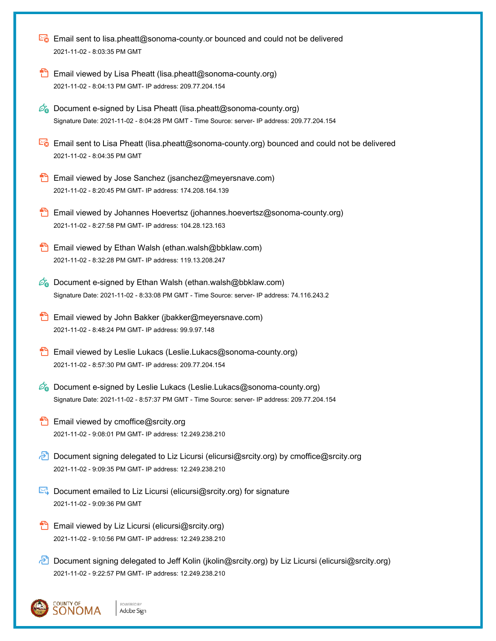|     | Email sent to lisa.pheatt@sonoma-county.or bounced and could not be delivered<br>2021-11-02 - 8.03:35 PM GMT                                                                                     |
|-----|--------------------------------------------------------------------------------------------------------------------------------------------------------------------------------------------------|
|     | Email viewed by Lisa Pheatt (lisa.pheatt@sonoma-county.org)<br>2021-11-02 - 8:04:13 PM GMT- IP address: 209.77.204.154                                                                           |
| Øa  | Document e-signed by Lisa Pheatt (lisa.pheatt@sonoma-county.org)<br>Signature Date: 2021-11-02 - 8:04:28 PM GMT - Time Source: server- IP address: 209.77.204.154                                |
|     | Email sent to Lisa Pheatt (lisa.pheatt@sonoma-county.org) bounced and could not be delivered<br>2021-11-02 - 8:04:35 PM GMT                                                                      |
|     | Email viewed by Jose Sanchez (jsanchez@meyersnave.com)<br>2021-11-02 - 8:20:45 PM GMT- IP address: 174.208.164.139                                                                               |
|     | Email viewed by Johannes Hoevertsz (johannes.hoevertsz@sonoma-county.org)<br>2021-11-02 - 8:27:58 PM GMT- IP address: 104.28.123.163                                                             |
|     | Email viewed by Ethan Walsh (ethan.walsh@bbklaw.com)<br>2021-11-02 - 8:32:28 PM GMT- IP address: 119.13.208.247                                                                                  |
| Øa  | Document e-signed by Ethan Walsh (ethan.walsh@bbklaw.com)<br>Signature Date: 2021-11-02 - 8:33:08 PM GMT - Time Source: server- IP address: 74.116.243.2                                         |
|     | Email viewed by John Bakker (jbakker@meyersnave.com)<br>2021-11-02 - 8:48:24 PM GMT- IP address: 99.9.97.148                                                                                     |
|     | Email viewed by Leslie Lukacs (Leslie.Lukacs@sonoma-county.org)<br>2021-11-02 - 8:57:30 PM GMT- IP address: 209.77.204.154                                                                       |
|     | $\mathscr{D}_{\mathbf{G}}$ Document e-signed by Leslie Lukacs (Leslie.Lukacs@sonoma-county.org)<br>Signature Date: 2021-11-02 - 8:57:37 PM GMT - Time Source: server- IP address: 209.77.204.154 |
|     | Email viewed by cmoffice@srcity.org<br>2021-11-02 - 9:08:01 PM GMT- IP address: 12.249.238.210                                                                                                   |
| ا≮م | Document signing delegated to Liz Licursi (elicursi@srcity.org) by cmoffice@srcity.org<br>2021-11-02 - 9:09:35 PM GMT- IP address: 12.249.238.210                                                |
|     | Document emailed to Liz Licursi (elicursi@srcity.org) for signature<br>2021-11-02 - 9:09:36 PM GMT                                                                                               |
|     | Email viewed by Liz Licursi (elicursi@srcity.org)<br>2021-11-02 - 9:10:56 PM GMT- IP address: 12.249.238.210                                                                                     |
|     | Document signing delegated to Jeff Kolin (jkolin@srcity.org) by Liz Licursi (elicursi@srcity.org)<br>2021-11-02 - 9:22:57 PM GMT- IP address: 12.249.238.210                                     |
|     | OUNTY OF!<br>POWERED BY<br>NOMA<br>Adobe Sign                                                                                                                                                    |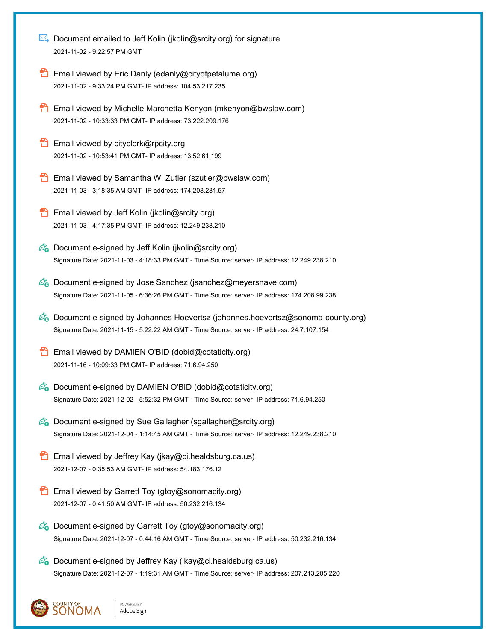- **E** Document emailed to Jeff Kolin (jkolin@srcity.org) for signature 2021-11-02 - 9:22:57 PM GMT
- **Email viewed by Eric Danly (edanly@cityofpetaluma.org)** 2021-11-02 - 9:33:24 PM GMT- IP address: 104.53.217.235
- **Email viewed by Michelle Marchetta Kenyon (mkenyon@bwslaw.com)** 2021-11-02 - 10:33:33 PM GMT- IP address: 73.222.209.176
- **Email viewed by cityclerk@rpcity.org** 2021-11-02 - 10:53:41 PM GMT- IP address: 13.52.61.199
- Email viewed by Samantha W. Zutler (szutler@bwslaw.com) 2021-11-03 - 3:18:35 AM GMT- IP address: 174.208.231.57
- Email viewed by Jeff Kolin (jkolin@srcity.org) 2021-11-03 - 4:17:35 PM GMT- IP address: 12.249.238.210
- $\mathscr{O}_\mathbf{0}$  Document e-signed by Jeff Kolin (jkolin@srcity.org) Signature Date: 2021-11-03 - 4:18:33 PM GMT - Time Source: server- IP address: 12.249.238.210
- $\mathscr{O}_\bullet$  Document e-signed by Jose Sanchez (jsanchez@meyersnave.com) Signature Date: 2021-11-05 - 6:36:26 PM GMT - Time Source: server- IP address: 174.208.99.238
- $\mathscr{D}_\bullet$  Document e-signed by Johannes Hoevertsz (johannes.hoevertsz@sonoma-county.org) Signature Date: 2021-11-15 - 5:22:22 AM GMT - Time Source: server- IP address: 24.7.107.154
- Email viewed by DAMIEN O'BID (dobid@cotaticity.org) 2021-11-16 - 10:09:33 PM GMT- IP address: 71.6.94.250
- $\mathscr{O}_\mathbf{G}$  Document e-signed by DAMIEN O'BID (dobid@cotaticity.org) Signature Date: 2021-12-02 - 5:52:32 PM GMT - Time Source: server- IP address: 71.6.94.250
- $\mathscr{O}_\bullet$  Document e-signed by Sue Gallagher (sgallagher@srcity.org) Signature Date: 2021-12-04 - 1:14:45 AM GMT - Time Source: server- IP address: 12.249.238.210
- **Email viewed by Jeffrey Kay (jkay@ci.healdsburg.ca.us)** 2021-12-07 - 0:35:53 AM GMT- IP address: 54.183.176.12
- **Email viewed by Garrett Toy (gtoy@sonomacity.org)** 2021-12-07 - 0:41:50 AM GMT- IP address: 50.232.216.134
- $\mathscr{O}_\mathbf{Q}$  Document e-signed by Garrett Toy (gtoy@sonomacity.org) Signature Date: 2021-12-07 - 0:44:16 AM GMT - Time Source: server- IP address: 50.232.216.134
- $\mathscr{O}_\bullet$  Document e-signed by Jeffrey Kay (jkay@ci.healdsburg.ca.us) Signature Date: 2021-12-07 - 1:19:31 AM GMT - Time Source: server- IP address: 207.213.205.220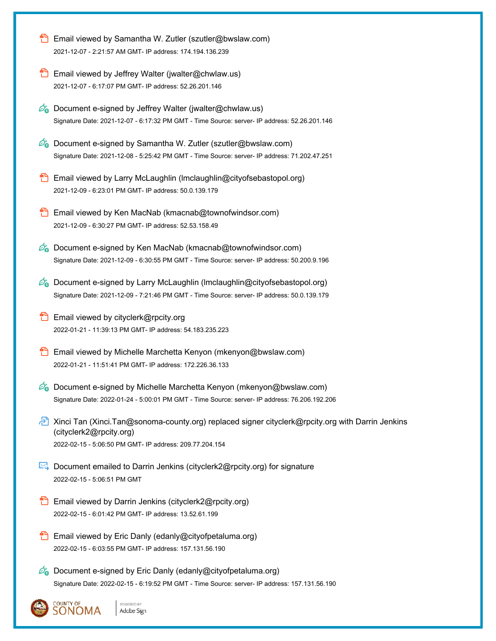|    | Email viewed by Samantha W. Zutler (szutler@bwslaw.com)<br>2021-12-07 - 2:21:57 AM GMT- IP address: 174.194.136.239                                                                                |
|----|----------------------------------------------------------------------------------------------------------------------------------------------------------------------------------------------------|
|    | Email viewed by Jeffrey Walter (jwalter@chwlaw.us)<br>2021-12-07 - 6:17:07 PM GMT- IP address: 52.26.201.146                                                                                       |
|    | $\mathscr{D}_{\bullet}$ Document e-signed by Jeffrey Walter (jwalter@chwlaw.us)<br>Signature Date: 2021-12-07 - 6:17:32 PM GMT - Time Source: server- IP address: 52.26.201.146                    |
|    | $\mathcal{Q}_0$ Document e-signed by Samantha W. Zutler (szutler@bwslaw.com)<br>Signature Date: 2021-12-08 - 5:25:42 PM GMT - Time Source: server- IP address: 71.202.47.251                       |
|    | Email viewed by Larry McLaughlin (Imclaughlin@cityofsebastopol.org)<br>2021-12-09 - 6:23:01 PM GMT- IP address: 50.0.139.179                                                                       |
|    | Email viewed by Ken MacNab (kmacnab@townofwindsor.com)<br>2021-12-09 - 6:30:27 PM GMT- IP address: 52.53.158.49                                                                                    |
|    | <b><i>C</i></b> Document e-signed by Ken MacNab (kmacnab@townofwindsor.com)<br>Signature Date: 2021-12-09 - 6:30:55 PM GMT - Time Source: server- IP address: 50.200.9.196                         |
|    | $\mathscr{O}_{\mathbf{G}}$ Document e-signed by Larry McLaughlin (Imclaughlin@cityofsebastopol.org)<br>Signature Date: 2021-12-09 - 7:21:46 PM GMT - Time Source: server- IP address: 50.0.139.179 |
| ซ  | Email viewed by cityclerk@rpcity.org<br>2022-01-21 - 11:39:13 PM GMT- IP address: 54.183.235.223                                                                                                   |
|    | Email viewed by Michelle Marchetta Kenyon (mkenyon@bwslaw.com)<br>2022-01-21 - 11:51:41 PM GMT- IP address: 172.226.36.133                                                                         |
|    | $\mathscr{O}_{\mathbf{G}}$ Document e-signed by Michelle Marchetta Kenyon (mkenyon@bwslaw.com)<br>Signature Date: 2022-01-24 - 5:00:01 PM GMT - Time Source: server- IP address: 76.206.192.206    |
| اچ | Xinci Tan (Xinci.Tan@sonoma-county.org) replaced signer cityclerk@rpcity.org with Darrin Jenkins<br>(cityclerk2@rpcity.org)<br>2022-02-15 - 5:06:50 PM GMT- IP address: 209.77.204.154             |
|    | Document emailed to Darrin Jenkins (cityclerk2@rpcity.org) for signature<br>2022-02-15 - 5:06:51 PM GMT                                                                                            |
|    | Email viewed by Darrin Jenkins (cityclerk2@rpcity.org)<br>2022-02-15 - 6:01:42 PM GMT- IP address: 13.52.61.199                                                                                    |
|    | Email viewed by Eric Danly (edanly@cityofpetaluma.org)<br>2022-02-15 - 6:03:55 PM GMT- IP address: 157.131.56.190                                                                                  |
|    | Co Document e-signed by Eric Danly (edanly@cityofpetaluma.org)<br>Signature Date: 2022-02-15 - 6:19:52 PM GMT - Time Source: server- IP address: 157.131.56.190                                    |
|    | COUNTY OF<br>POWERED BY<br>SONOMA<br>Adobe Sign                                                                                                                                                    |

処